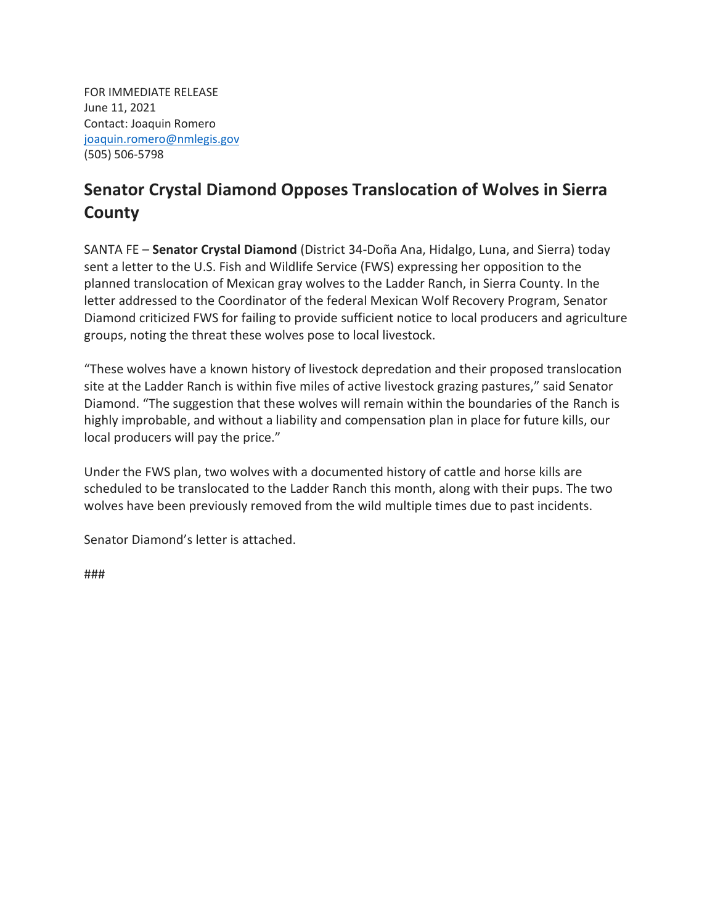FOR IMMEDIATE RELEASE June 11, 2021 Contact: Joaquin Romero [joaquin.romero@nmlegis.gov](mailto:joaquin.romero@nmlegis.gov) (505) 506-5798

## **Senator Crystal Diamond Opposes Translocation of Wolves in Sierra County**

SANTA FE – **Senator Crystal Diamond** (District 34-Doña Ana, Hidalgo, Luna, and Sierra) today sent a letter to the U.S. Fish and Wildlife Service (FWS) expressing her opposition to the planned translocation of Mexican gray wolves to the Ladder Ranch, in Sierra County. In the letter addressed to the Coordinator of the federal Mexican Wolf Recovery Program, Senator Diamond criticized FWS for failing to provide sufficient notice to local producers and agriculture groups, noting the threat these wolves pose to local livestock.

"These wolves have a known history of livestock depredation and their proposed translocation site at the Ladder Ranch is within five miles of active livestock grazing pastures," said Senator Diamond. "The suggestion that these wolves will remain within the boundaries of the Ranch is highly improbable, and without a liability and compensation plan in place for future kills, our local producers will pay the price."

Under the FWS plan, two wolves with a documented history of cattle and horse kills are scheduled to be translocated to the Ladder Ranch this month, along with their pups. The two wolves have been previously removed from the wild multiple times due to past incidents.

Senator Diamond's letter is attached.

###